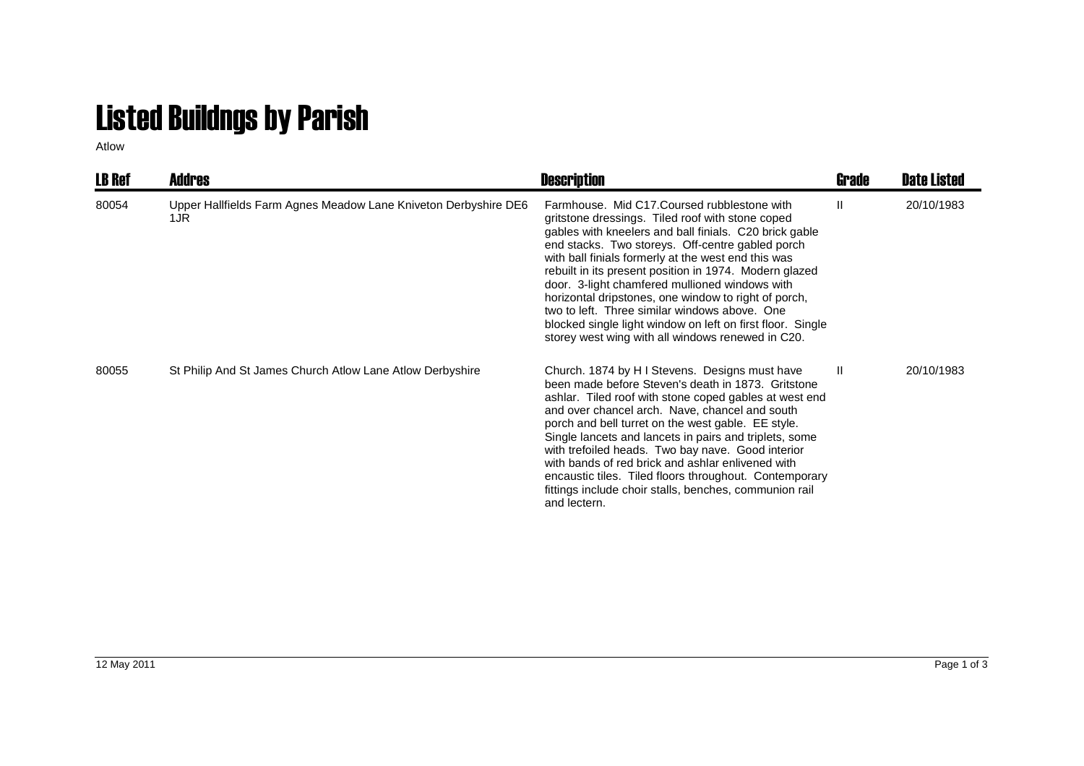## Listed Buildngs by Parish

Atlow

| <b>LB Ref</b> | Addres                                                                 | <b>Description</b>                                                                                                                                                                                                                                                                                                                                                                                                                                                                                                                                                                                            | Grade        | <b>Date Listed</b> |
|---------------|------------------------------------------------------------------------|---------------------------------------------------------------------------------------------------------------------------------------------------------------------------------------------------------------------------------------------------------------------------------------------------------------------------------------------------------------------------------------------------------------------------------------------------------------------------------------------------------------------------------------------------------------------------------------------------------------|--------------|--------------------|
| 80054         | Upper Hallfields Farm Agnes Meadow Lane Kniveton Derbyshire DE6<br>1JR | Farmhouse. Mid C17. Coursed rubblestone with<br>gritstone dressings. Tiled roof with stone coped<br>gables with kneelers and ball finials. C20 brick gable<br>end stacks. Two storeys. Off-centre gabled porch<br>with ball finials formerly at the west end this was<br>rebuilt in its present position in 1974. Modern glazed<br>door. 3-light chamfered mullioned windows with<br>horizontal dripstones, one window to right of porch,<br>two to left. Three similar windows above. One<br>blocked single light window on left on first floor. Single<br>storey west wing with all windows renewed in C20. | Ш            | 20/10/1983         |
| 80055         | St Philip And St James Church Atlow Lane Atlow Derbyshire              | Church. 1874 by H I Stevens. Designs must have<br>been made before Steven's death in 1873. Gritstone<br>ashlar. Tiled roof with stone coped gables at west end<br>and over chancel arch. Nave, chancel and south<br>porch and bell turret on the west gable. EE style.<br>Single lancets and lancets in pairs and triplets, some<br>with trefoiled heads. Two bay nave. Good interior<br>with bands of red brick and ashlar enlivened with<br>encaustic tiles. Tiled floors throughout. Contemporary<br>fittings include choir stalls, benches, communion rail<br>and lectern.                                | $\mathbf{H}$ | 20/10/1983         |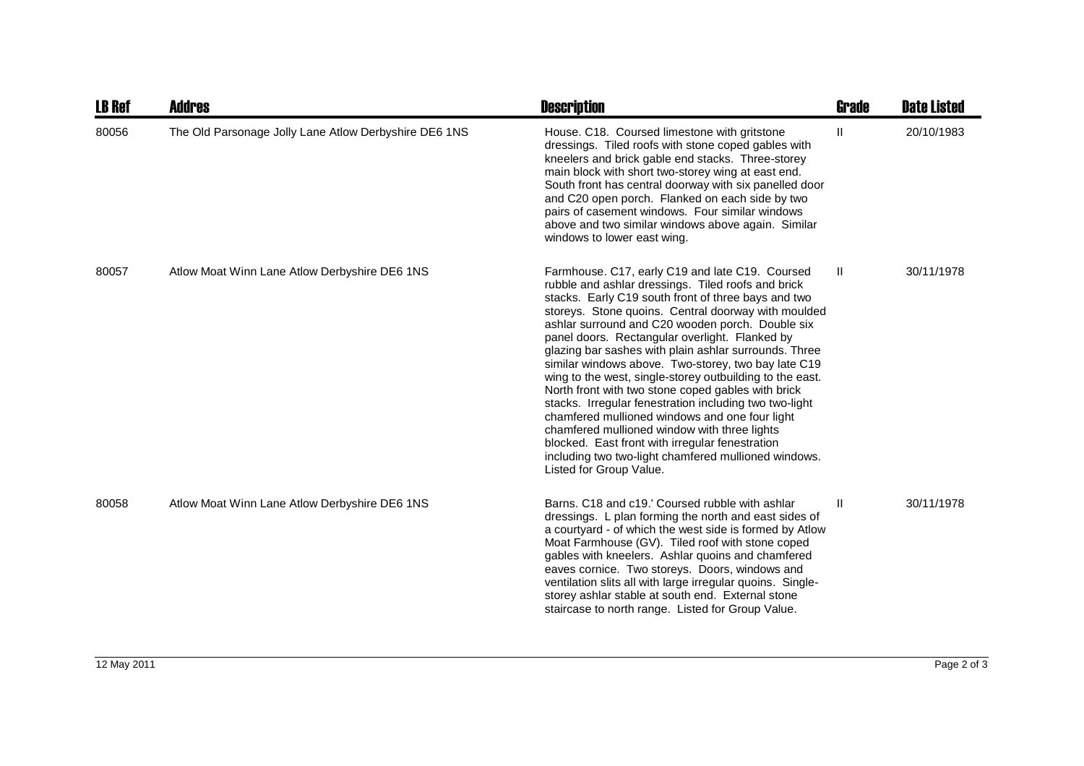| <b>LB Ref</b> | <b>Addres</b>                                         | <b>Description</b>                                                                                                                                                                                                                                                                                                                                                                                                                                                                                                                                                                                                                                                                                                                                                                                                                                            | <b>Grade</b> | <b>Date Listed</b> |
|---------------|-------------------------------------------------------|---------------------------------------------------------------------------------------------------------------------------------------------------------------------------------------------------------------------------------------------------------------------------------------------------------------------------------------------------------------------------------------------------------------------------------------------------------------------------------------------------------------------------------------------------------------------------------------------------------------------------------------------------------------------------------------------------------------------------------------------------------------------------------------------------------------------------------------------------------------|--------------|--------------------|
| 80056         | The Old Parsonage Jolly Lane Atlow Derbyshire DE6 1NS | House. C18. Coursed limestone with gritstone<br>dressings. Tiled roofs with stone coped gables with<br>kneelers and brick gable end stacks. Three-storey<br>main block with short two-storey wing at east end.<br>South front has central doorway with six panelled door<br>and C20 open porch. Flanked on each side by two<br>pairs of casement windows. Four similar windows<br>above and two similar windows above again. Similar<br>windows to lower east wing.                                                                                                                                                                                                                                                                                                                                                                                           | Ш            | 20/10/1983         |
| 80057         | Atlow Moat Winn Lane Atlow Derbyshire DE6 1NS         | Farmhouse. C17, early C19 and late C19. Coursed<br>rubble and ashlar dressings. Tiled roofs and brick<br>stacks. Early C19 south front of three bays and two<br>storeys. Stone quoins. Central doorway with moulded<br>ashlar surround and C20 wooden porch. Double six<br>panel doors. Rectangular overlight. Flanked by<br>glazing bar sashes with plain ashlar surrounds. Three<br>similar windows above. Two-storey, two bay late C19<br>wing to the west, single-storey outbuilding to the east.<br>North front with two stone coped gables with brick<br>stacks. Irregular fenestration including two two-light<br>chamfered mullioned windows and one four light<br>chamfered mullioned window with three lights<br>blocked. East front with irregular fenestration<br>including two two-light chamfered mullioned windows.<br>Listed for Group Value. | Ш            | 30/11/1978         |
| 80058         | Atlow Moat Winn Lane Atlow Derbyshire DE6 1NS         | Barns, C18 and c19.' Coursed rubble with ashlar<br>dressings. L plan forming the north and east sides of<br>a courtyard - of which the west side is formed by Atlow<br>Moat Farmhouse (GV). Tiled roof with stone coped<br>gables with kneelers. Ashlar quoins and chamfered<br>eaves cornice. Two storeys. Doors, windows and<br>ventilation slits all with large irregular quoins. Single-<br>storey ashlar stable at south end. External stone<br>staircase to north range. Listed for Group Value.                                                                                                                                                                                                                                                                                                                                                        | Ш            | 30/11/1978         |